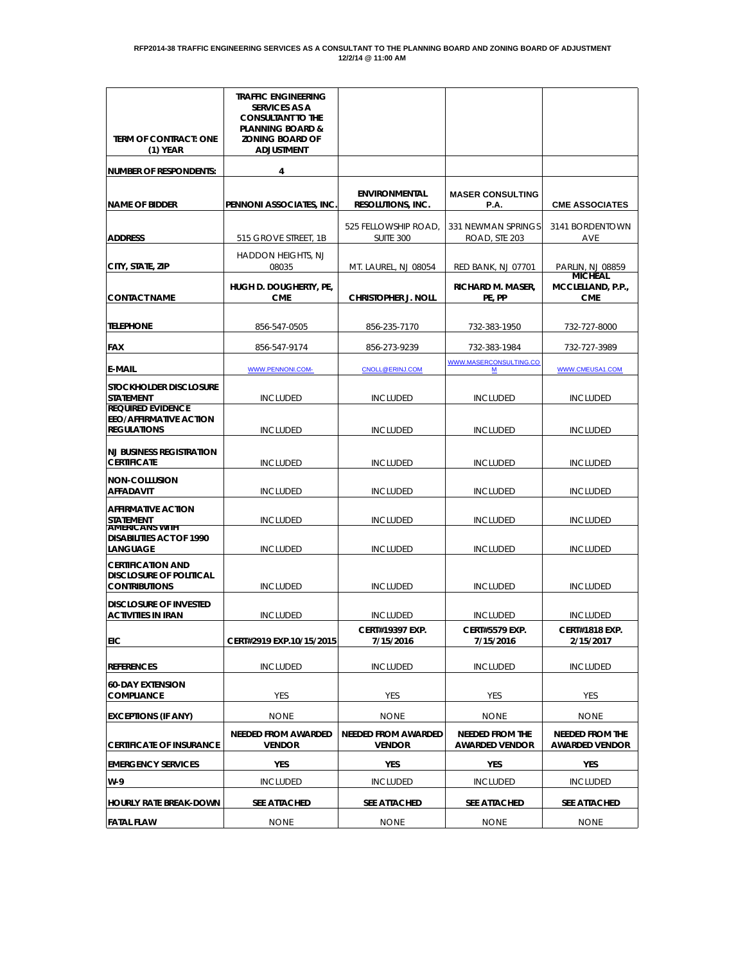| <b>TERM OF CONTRACT: ONE</b><br>$(1)$ YEAR                                         | <b>TRAFFIC ENGINEERING</b><br><b>SERVICES AS A</b><br><b>CONSULTANT TO THE</b><br><b>PLANNING BOARD &amp;</b><br><b>ZONING BOARD OF</b><br><b>ADJUSTMENT</b> |                                                  |                                          |                                                 |
|------------------------------------------------------------------------------------|--------------------------------------------------------------------------------------------------------------------------------------------------------------|--------------------------------------------------|------------------------------------------|-------------------------------------------------|
| <b>NUMBER OF RESPONDENTS:</b>                                                      | 4                                                                                                                                                            |                                                  |                                          |                                                 |
| <b>NAME OF BIDDER</b>                                                              | PENNONI ASSOCIATES, INC                                                                                                                                      | <b>ENVIRONMENTAL</b><br><b>RESOLUTIONS, INC.</b> | <b>MASER CONSULTING</b><br>P.A.          | <b>CME ASSOCIATES</b>                           |
| <b>ADDRESS</b>                                                                     | 515 GROVE STREET, 1B                                                                                                                                         | 525 FELLOWSHIP ROAD,<br>SUITE 300                | 331 NEWMAN SPRINGS<br>ROAD, STE 203      | 3141 BORDENTOWN<br><b>AVE</b>                   |
| CITY, STATE, ZIP                                                                   | <b>HADDON HEIGHTS, NJ</b><br>08035                                                                                                                           | MT. LAUREL, NJ 08054                             | <b>RED BANK, NJ 07701</b>                | PARLIN, NJ 08859<br><b>MICHEAL</b>              |
| <b>CONTACT NAME</b>                                                                | HUGH D. DOUGHERTY, PE,<br><b>CME</b>                                                                                                                         | <b>CHRISTOPHER J. NOLL</b>                       | RICHARD M. MASER,<br>PE, PP              | MCCLELLAND, P.P.,<br><b>CME</b>                 |
| <b>TELEPHONE</b>                                                                   | 856-547-0505                                                                                                                                                 | 856-235-7170                                     | 732-383-1950                             | 732-727-8000                                    |
| <b>FAX</b>                                                                         | 856-547-9174                                                                                                                                                 | 856-273-9239                                     | 732-383-1984                             | 732-727-3989                                    |
| <b>E-MAIL</b>                                                                      | WWW.PENNONI.COM-                                                                                                                                             | CNOLL@ERINJ.COM                                  | WWW.MASERCONSULTING.CO<br>$M$            | WWW.CMEUSA1.COM                                 |
| <b>STOCKHOLDER DISCLOSURE</b><br><b>STATEMENT</b>                                  | <b>INCLUDED</b>                                                                                                                                              | <b>INCLUDED</b>                                  | <b>INCLUDED</b>                          | <b>INCLUDED</b>                                 |
| <b>REQUIRED EVIDENCE</b><br><b>EEO/AFFIRMATIVE ACTION</b><br><b>REGULATIONS</b>    | INCLUDED                                                                                                                                                     | INCLUDED                                         | <b>INCLUDED</b>                          | <b>INCLUDED</b>                                 |
| <b>NJ BUSINESS REGISTRATION</b><br><b>CERTIFICATE</b>                              | <b>INCLUDED</b>                                                                                                                                              | INCLUDED                                         | <b>INCLUDED</b>                          | <b>INCLUDED</b>                                 |
| NON-COLLUSION<br><b>AFFADAVIT</b>                                                  | <b>INCLUDED</b>                                                                                                                                              | <b>INCLUDED</b>                                  | <b>INCLUDED</b>                          | <b>INCLUDED</b>                                 |
| <b>AFFIRMATIVE ACTION</b><br><b>STATEMENT</b><br><b>AMERICANS WITH</b>             | <b>INCLUDED</b>                                                                                                                                              | <b>INCLUDED</b>                                  | <b>INCLUDED</b>                          | <b>INCLUDED</b>                                 |
| <b>DISABILITIES ACT OF 1990</b><br>LANGUAGE                                        | <b>INCLUDED</b>                                                                                                                                              | <b>INCLUDED</b>                                  | <b>INCLUDED</b>                          | <b>INCLUDED</b>                                 |
| <b>CERTIFICATION AND</b><br><b>DISCLOSURE OF POLITICAL</b><br><b>CONTRIBUTIONS</b> | <b>INCLUDED</b>                                                                                                                                              | <b>INCLUDED</b>                                  | <b>INCLUDED</b>                          | <b>INCLUDED</b>                                 |
| <b>DISCLOSURE OF INVESTED</b><br><b>ACTIVITIES IN IRAN</b>                         | <b>INCLUDED</b>                                                                                                                                              | <b>INCLUDED</b>                                  | <b>INCLUDED</b>                          | <b>INCLUDED</b>                                 |
| <b>EIC</b>                                                                         | CERT#2919 EXP.10/15/2015                                                                                                                                     | <b>CERT#19397 EXP.</b><br>7/15/2016              | <b>CERT#5579 EXP.</b><br>7/15/2016       | <b>CERT#1818 EXP</b><br>2/15/2017               |
| <b>REFERENCES</b>                                                                  | <b>INCLUDED</b>                                                                                                                                              | <b>INCLUDED</b>                                  | <b>INCLUDED</b>                          | <b>INCLUDED</b>                                 |
| <b>60-DAY EXTENSION</b><br><b>COMPLIANCE</b>                                       | <b>YES</b>                                                                                                                                                   | <b>YES</b>                                       | YES                                      | <b>YES</b>                                      |
| <b>EXCEPTIONS (IF ANY)</b>                                                         | <b>NONE</b>                                                                                                                                                  | <b>NONE</b>                                      | <b>NONE</b>                              | <b>NONE</b>                                     |
| <b>CERTIFICATE OF INSURANCE</b>                                                    | <b>NEEDED FROM AWARDED</b><br><b>VENDOR</b>                                                                                                                  | <b>NEEDED FROM AWARDED</b><br><b>VENDOR</b>      | NEEDED FROM THE<br><b>AWARDED VENDOR</b> | <b>NEEDED FROM THE</b><br><b>AWARDED VENDOR</b> |
| <b>EMERGENCY SERVICES</b>                                                          | YES                                                                                                                                                          | YES                                              | YES                                      | <b>YES</b>                                      |
| W-9                                                                                | <b>INCLUDED</b>                                                                                                                                              | <b>INCLUDED</b>                                  | <b>INCLUDED</b>                          | <b>INCLUDED</b>                                 |
| <b>HOURLY RATE BREAK-DOWN</b>                                                      | SEE ATTACHED                                                                                                                                                 | SEE ATTACHED                                     | SEE ATTACHED                             | SEE ATTACHED                                    |
| <b>FATAL FLAW</b>                                                                  | <b>NONE</b>                                                                                                                                                  | <b>NONE</b>                                      | <b>NONE</b>                              | <b>NONE</b>                                     |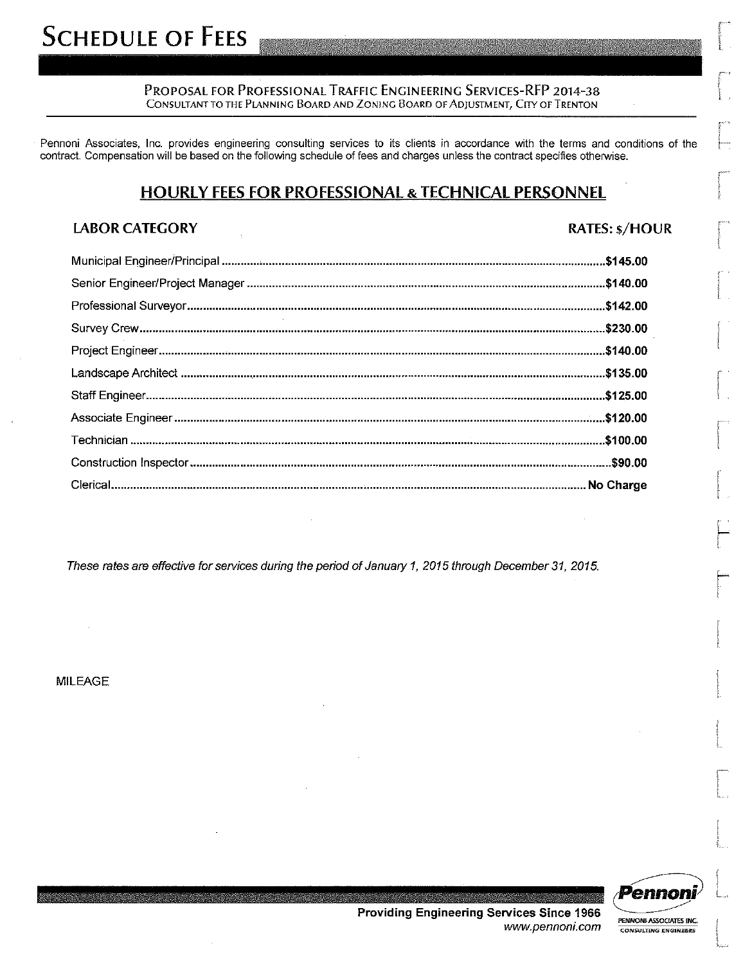PROPOSAL FOR PROFESSIONAL TRAFFIC ENGINEERING SERVICES-RFP 2014-38 CONSULTANT TO THE PLANNING BOARD AND ZONING BOARD OF ADJUSTMENT, CITY OF TRENTON

Pennoni Associates, Inc. provides engineering consulting services to its clients in accordance with the terms and conditions of the contract. Compensation will be based on the following schedule of fees and charges unless the contract specifies otherwise.

### **HOURLY FEES FOR PROFESSIONAL & TECHNICAL PERSONNEL**

### **LABOR CATEGORY**

**RATES: \$/HOUR** 

These rates are effective for services during the period of January 1, 2015 through December 31, 2015.

**MILEAGE** 



PENNONI ASSOCIATES INC.

**CONSULTING ENGINEERS** 

**Providing Engineering Services Since 1966** www.pennoni.com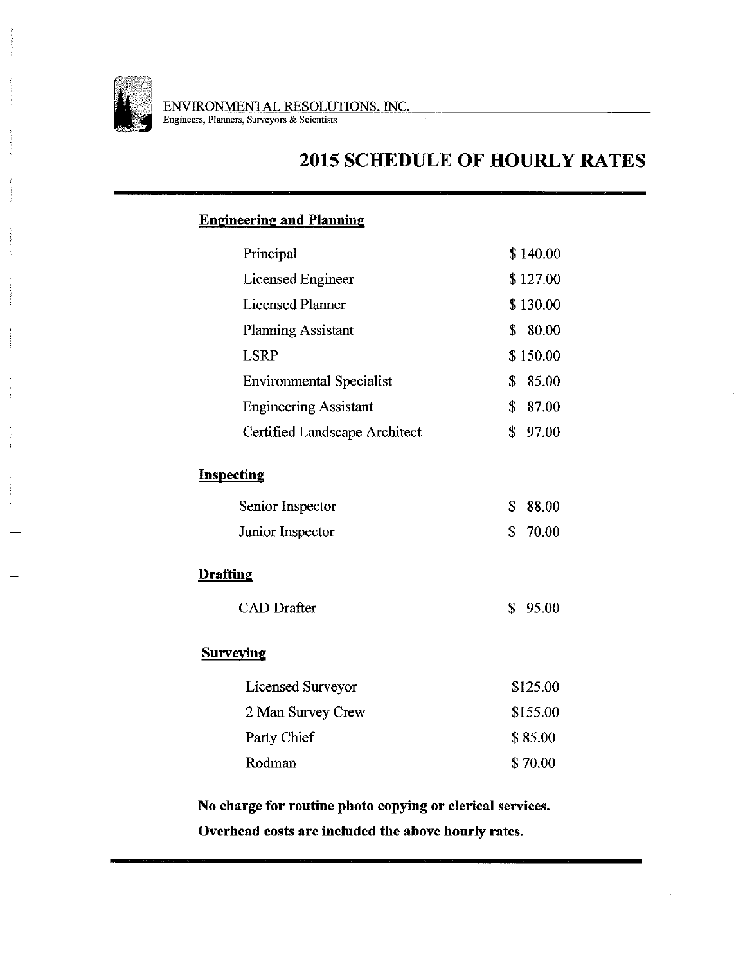

# **2015 SCHEDULE OF HOURLY RATES**

### **Engineering and Planning**

| Principal                       | \$140.00    |
|---------------------------------|-------------|
| Licensed Engineer               | \$127.00    |
| <b>Licensed Planner</b>         | \$130.00    |
| <b>Planning Assistant</b>       | \$<br>80.00 |
| <b>LSRP</b>                     | \$150.00    |
| <b>Environmental Specialist</b> | \$<br>85.00 |
| <b>Engineering Assistant</b>    | \$<br>87.00 |
| Certified Landscape Architect   | \$<br>97.00 |
| <b>Inspecting</b>               |             |
| Senior Inspector                | \$<br>88.00 |
| Junior Inspector                | \$<br>70.00 |
| <b>Drafting</b>                 |             |
| <b>CAD</b> Drafter              | \$<br>95.00 |
| <b>Surveying</b>                |             |
| Licensed Surveyor               | \$125.00    |
| 2 Man Survey Crew               | \$155.00    |
| Party Chief                     | \$85.00     |
| Rodman                          | \$70.00     |
|                                 |             |

No charge for routine photo copying or clerical services. Overhead costs are included the above hourly rates.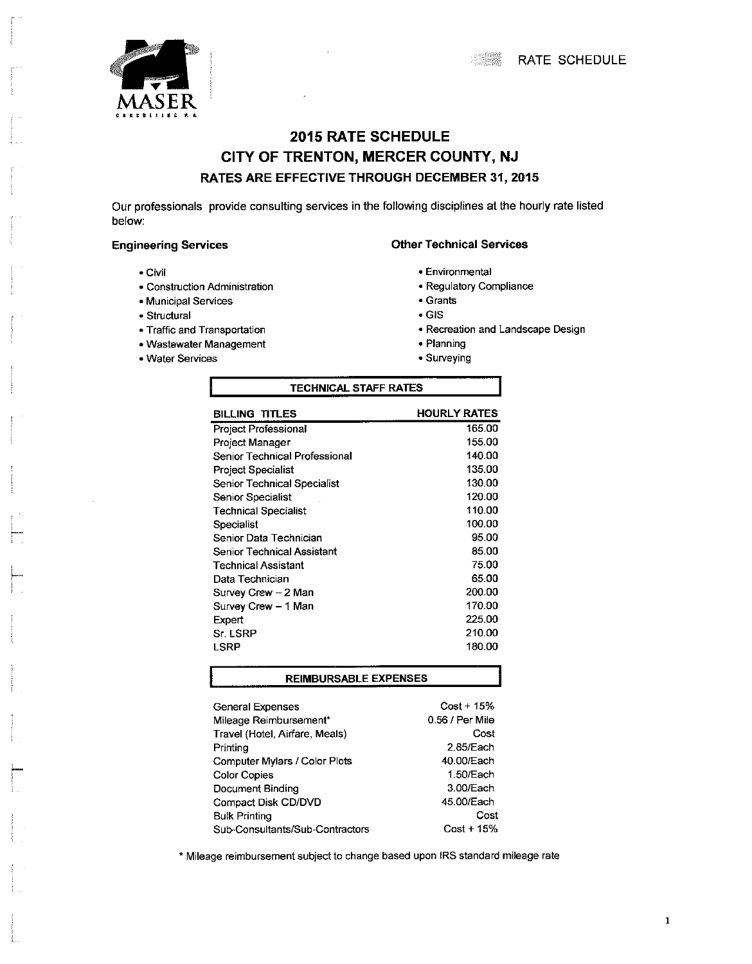

## **2015 RATE SCHEDULE** CITY OF TRENTON, MERCER COUNTY, NJ RATES ARE EFFECTIVE THROUGH DECEMBER 31, 2015

Our professionals provide consulting services in the following disciplines at the hourly rate listed below:

#### **Engineering Services**

- Civil
- Construction Administration
- Municipal Services
- Structural
- · Traffic and Transportation
- Wastewater Management
- Water Services
- **Other Technical Services** 
	- Environmental
	- Regulatory Compliance
	- Grants
	- $\bullet$  GIS
	- · Recreation and Landscape Design
	- Planning
	- Surveying

| <b>TECHNICAL STAFF RATES</b>  |                     |  |
|-------------------------------|---------------------|--|
| <b>BILLING TITLES</b>         | <b>HOURLY RATES</b> |  |
| Project Professional          | 165.00              |  |
| Project Manager               | 155.00              |  |
| Senior Technical Professional | 140.00              |  |
| Project Specialist            | 135.00              |  |
| Senior Technical Specialist   | 130.00              |  |
| Senior Specialist             | 120.00              |  |
| <b>Technical Specialist</b>   | 110.00              |  |
| Specialist                    | 100.00              |  |
| Senior Data Technician        | 95.00               |  |
| Senior Technical Assistant    | 85.00               |  |
| Technical Assistant           | 75.00               |  |
| Data Technician               | 65.00               |  |
| Survey Crew – 2 Man           | 200.00              |  |
| Survey Crew - 1 Man           | 170.00              |  |
| Expert                        | 225.00              |  |
| S <sub>I</sub> LSRP           | 210.00              |  |
| LSRP                          | 180.00              |  |
|                               |                     |  |

#### **REIMBURSABLE EXPENSES**

| <b>General Expenses</b>         | $Cost + 15%$    |
|---------------------------------|-----------------|
| Mileage Reimbursement*          | 0.56 / Per Mile |
| Travel (Hotel, Airfare, Meals)  | Cost            |
| Printing                        | 2.85/Each       |
| Computer Mylars / Color Plots   | 40.00/Each      |
| <b>Color Copies</b>             | 1.50/Each       |
| Document Binding                | 3.00/Each       |
| Compact Disk CD/DVD             | 45.00/Each      |
| <b>Bulk Printing</b>            | Cost            |
| Sub-Consultants/Sub-Contractors | $Cost + 15%$    |

\* Mileage reimbursement subject to change based upon IRS standard mileage rate